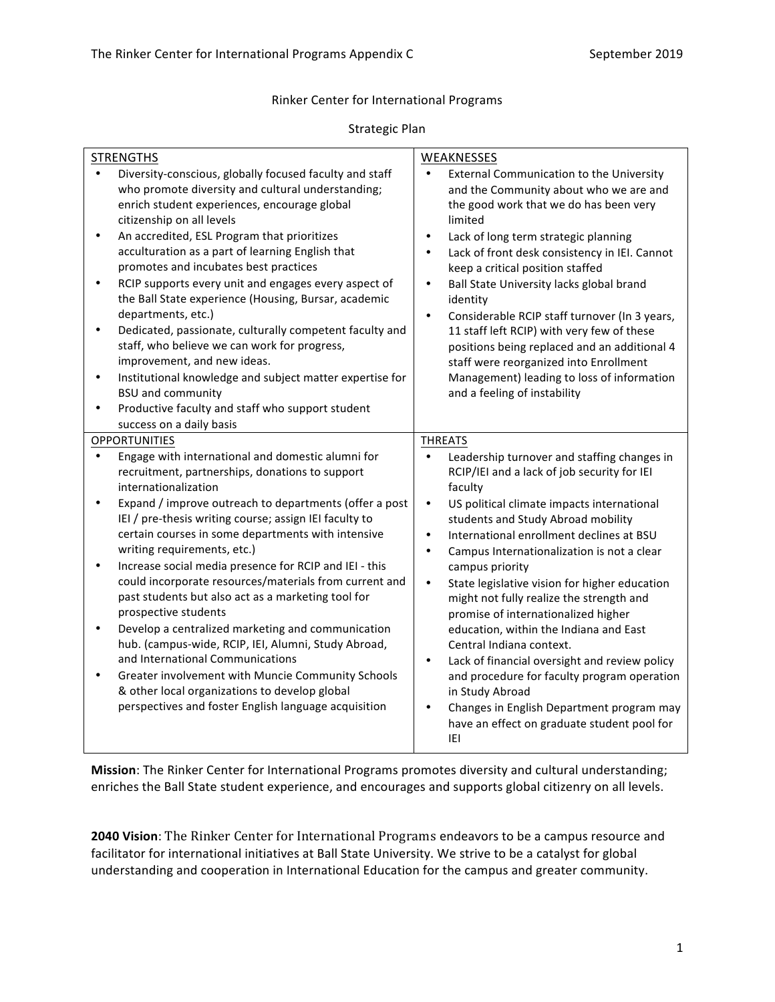#### Rinker Center for International Programs

#### Strategic Plan

| <b>STRENGTHS</b>                                                                                                                                                                                                                                                                                                                                                                                                                                                                                                                                                                                                                                                                                                                                                                                                                                  | WEAKNESSES                                                                                                                                                                                                                                                                                                                                                                                                                                                                                                                                                                                                                                                           |
|---------------------------------------------------------------------------------------------------------------------------------------------------------------------------------------------------------------------------------------------------------------------------------------------------------------------------------------------------------------------------------------------------------------------------------------------------------------------------------------------------------------------------------------------------------------------------------------------------------------------------------------------------------------------------------------------------------------------------------------------------------------------------------------------------------------------------------------------------|----------------------------------------------------------------------------------------------------------------------------------------------------------------------------------------------------------------------------------------------------------------------------------------------------------------------------------------------------------------------------------------------------------------------------------------------------------------------------------------------------------------------------------------------------------------------------------------------------------------------------------------------------------------------|
| Diversity-conscious, globally focused faculty and staff<br>who promote diversity and cultural understanding;<br>enrich student experiences, encourage global<br>citizenship on all levels<br>An accredited, ESL Program that prioritizes<br>$\bullet$<br>acculturation as a part of learning English that<br>promotes and incubates best practices<br>RCIP supports every unit and engages every aspect of<br>$\bullet$<br>the Ball State experience (Housing, Bursar, academic<br>departments, etc.)<br>Dedicated, passionate, culturally competent faculty and<br>$\bullet$<br>staff, who believe we can work for progress,<br>improvement, and new ideas.<br>Institutional knowledge and subject matter expertise for<br>$\bullet$<br><b>BSU and community</b><br>Productive faculty and staff who support student<br>success on a daily basis | External Communication to the University<br>$\bullet$<br>and the Community about who we are and<br>the good work that we do has been very<br>limited<br>Lack of long term strategic planning<br>$\bullet$<br>Lack of front desk consistency in IEI. Cannot<br>$\bullet$<br>keep a critical position staffed<br>Ball State University lacks global brand<br>$\bullet$<br>identity<br>Considerable RCIP staff turnover (In 3 years,<br>$\bullet$<br>11 staff left RCIP) with very few of these<br>positions being replaced and an additional 4<br>staff were reorganized into Enrollment<br>Management) leading to loss of information<br>and a feeling of instability |
| <b>OPPORTUNITIES</b>                                                                                                                                                                                                                                                                                                                                                                                                                                                                                                                                                                                                                                                                                                                                                                                                                              | <b>THREATS</b>                                                                                                                                                                                                                                                                                                                                                                                                                                                                                                                                                                                                                                                       |
| Engage with international and domestic alumni for<br>recruitment, partnerships, donations to support<br>internationalization                                                                                                                                                                                                                                                                                                                                                                                                                                                                                                                                                                                                                                                                                                                      | Leadership turnover and staffing changes in<br>RCIP/IEI and a lack of job security for IEI<br>faculty                                                                                                                                                                                                                                                                                                                                                                                                                                                                                                                                                                |
| Expand / improve outreach to departments (offer a post<br>$\bullet$<br>IEI / pre-thesis writing course; assign IEI faculty to<br>certain courses in some departments with intensive<br>writing requirements, etc.)                                                                                                                                                                                                                                                                                                                                                                                                                                                                                                                                                                                                                                | US political climate impacts international<br>$\bullet$<br>students and Study Abroad mobility<br>International enrollment declines at BSU<br>$\bullet$<br>Campus Internationalization is not a clear<br>$\bullet$                                                                                                                                                                                                                                                                                                                                                                                                                                                    |
| Increase social media presence for RCIP and IEI - this<br>$\bullet$<br>could incorporate resources/materials from current and<br>past students but also act as a marketing tool for<br>prospective students                                                                                                                                                                                                                                                                                                                                                                                                                                                                                                                                                                                                                                       | campus priority<br>State legislative vision for higher education<br>$\bullet$<br>might not fully realize the strength and<br>promise of internationalized higher                                                                                                                                                                                                                                                                                                                                                                                                                                                                                                     |
| Develop a centralized marketing and communication<br>٠<br>hub. (campus-wide, RCIP, IEI, Alumni, Study Abroad,<br>and International Communications                                                                                                                                                                                                                                                                                                                                                                                                                                                                                                                                                                                                                                                                                                 | education, within the Indiana and East<br>Central Indiana context.<br>Lack of financial oversight and review policy<br>$\bullet$                                                                                                                                                                                                                                                                                                                                                                                                                                                                                                                                     |
| Greater involvement with Muncie Community Schools<br>$\bullet$<br>& other local organizations to develop global<br>perspectives and foster English language acquisition                                                                                                                                                                                                                                                                                                                                                                                                                                                                                                                                                                                                                                                                           | and procedure for faculty program operation<br>in Study Abroad<br>$\bullet$<br>Changes in English Department program may<br>have an effect on graduate student pool for                                                                                                                                                                                                                                                                                                                                                                                                                                                                                              |
|                                                                                                                                                                                                                                                                                                                                                                                                                                                                                                                                                                                                                                                                                                                                                                                                                                                   | IEI                                                                                                                                                                                                                                                                                                                                                                                                                                                                                                                                                                                                                                                                  |

**Mission**: The Rinker Center for International Programs promotes diversity and cultural understanding; enriches the Ball State student experience, and encourages and supports global citizenry on all levels.

**2040 Vision**: The Rinker Center for International Programs endeavors to be a campus resource and facilitator for international initiatives at Ball State University. We strive to be a catalyst for global understanding and cooperation in International Education for the campus and greater community.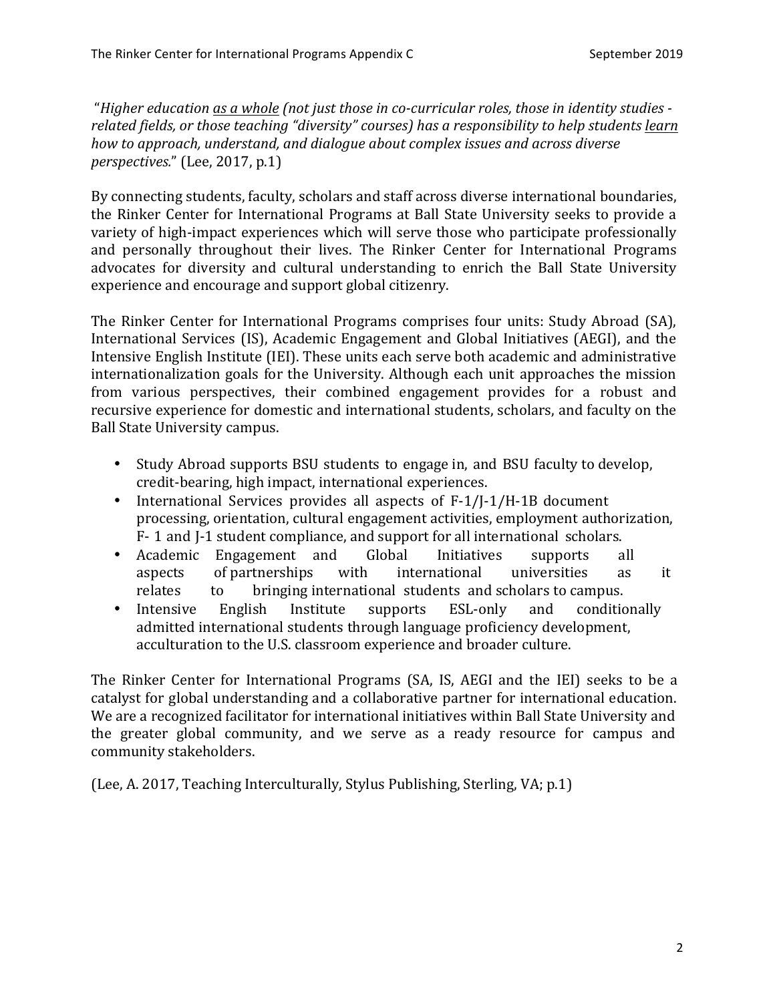"*Higher education as a whole (not just those in co-curricular roles, those in identity studies* related fields, or those teaching "diversity" courses) has a responsibility to help students learn *how to approach, understand, and dialogue about complex issues and across diverse perspectives.*" (Lee, 2017, p.1)

By connecting students, faculty, scholars and staff across diverse international boundaries, the Rinker Center for International Programs at Ball State University seeks to provide a variety of high-impact experiences which will serve those who participate professionally and personally throughout their lives. The Rinker Center for International Programs advocates for diversity and cultural understanding to enrich the Ball State University experience and encourage and support global citizenry.

The Rinker Center for International Programs comprises four units: Study Abroad (SA), International Services (IS), Academic Engagement and Global Initiatives (AEGI), and the Intensive English Institute (IEI). These units each serve both academic and administrative internationalization goals for the University. Although each unit approaches the mission from various perspectives, their combined engagement provides for a robust and recursive experience for domestic and international students, scholars, and faculty on the Ball State University campus.

- Study Abroad supports BSU students to engage in, and BSU faculty to develop, credit-bearing, high impact, international experiences.
- International Services provides all aspects of F-1/J-1/H-1B document processing, orientation, cultural engagement activities, employment authorization, F- 1 and J-1 student compliance, and support for all international scholars.
- Academic Engagement and Global Initiatives supports all aspects of partnerships with international universities as it relates to bringing international students and scholars to campus.
- Intensive English Institute supports ESL-only and conditionally admitted international students through language proficiency development, acculturation to the U.S. classroom experience and broader culture.

The Rinker Center for International Programs (SA, IS, AEGI and the IEI) seeks to be a catalyst for global understanding and a collaborative partner for international education. We are a recognized facilitator for international initiatives within Ball State University and the greater global community, and we serve as a ready resource for campus and community stakeholders.

(Lee, A. 2017, Teaching Interculturally, Stylus Publishing, Sterling, VA; p.1)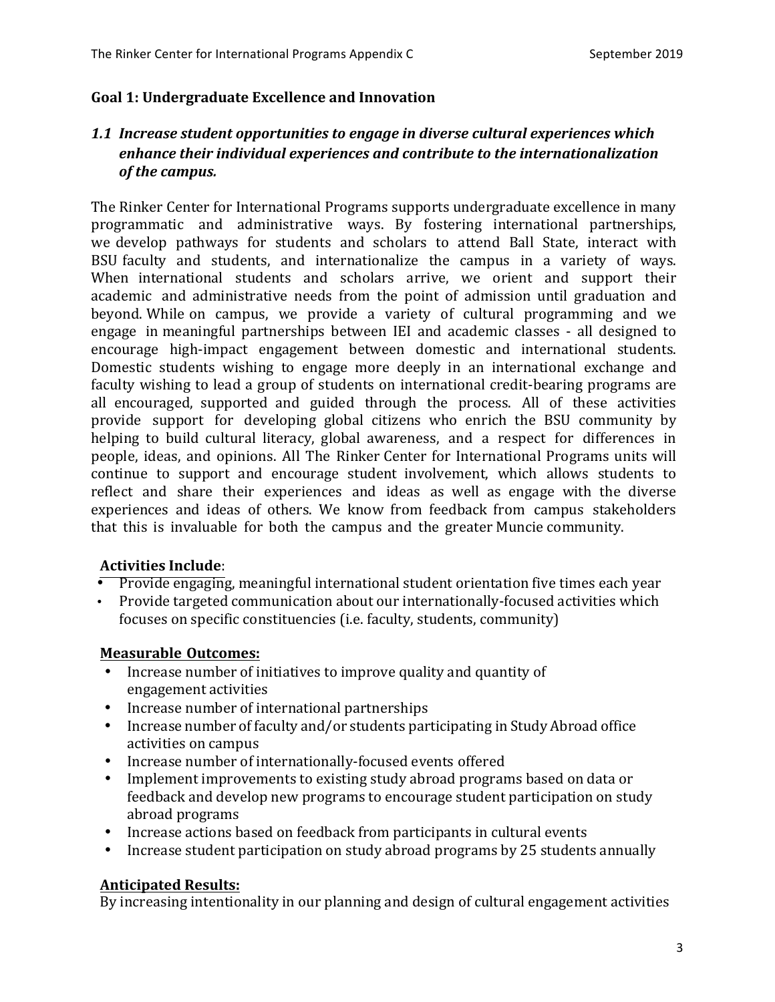#### Goal 1: Undergraduate Excellence and Innovation

## 1.1 *Increase student opportunities to engage in diverse cultural experiences which* enhance their individual experiences and contribute to the internationalization *of the campus.*

The Rinker Center for International Programs supports undergraduate excellence in many programmatic and administrative ways. By fostering international partnerships, we develop pathways for students and scholars to attend Ball State, interact with BSU faculty and students, and internationalize the campus in a variety of ways. When international students and scholars arrive, we orient and support their academic and administrative needs from the point of admission until graduation and beyond. While on campus, we provide a variety of cultural programming and we engage in meaningful partnerships between IEI and academic classes - all designed to encourage high-impact engagement between domestic and international students. Domestic students wishing to engage more deeply in an international exchange and faculty wishing to lead a group of students on international credit-bearing programs are all encouraged, supported and guided through the process. All of these activities provide support for developing global citizens who enrich the BSU community by helping to build cultural literacy, global awareness, and a respect for differences in people, ideas, and opinions. All The Rinker Center for International Programs units will continue to support and encourage student involvement, which allows students to reflect and share their experiences and ideas as well as engage with the diverse experiences and ideas of others. We know from feedback from campus stakeholders that this is invaluable for both the campus and the greater Muncie community.

#### **Activities Include**:

• Provide engaging, meaningful international student orientation five times each year

• Provide targeted communication about our internationally-focused activities which focuses on specific constituencies (i.e. faculty, students, community)

#### **Measurable Outcomes:**

- Increase number of initiatives to improve quality and quantity of engagement activities
- Increase number of international partnerships
- Increase number of faculty and/or students participating in Study Abroad office activities on campus
- Increase number of internationally-focused events offered
- Implement improvements to existing study abroad programs based on data or feedback and develop new programs to encourage student participation on study abroad programs
- Increase actions based on feedback from participants in cultural events
- Increase student participation on study abroad programs by 25 students annually

#### **Anticipated Results:**

By increasing intentionality in our planning and design of cultural engagement activities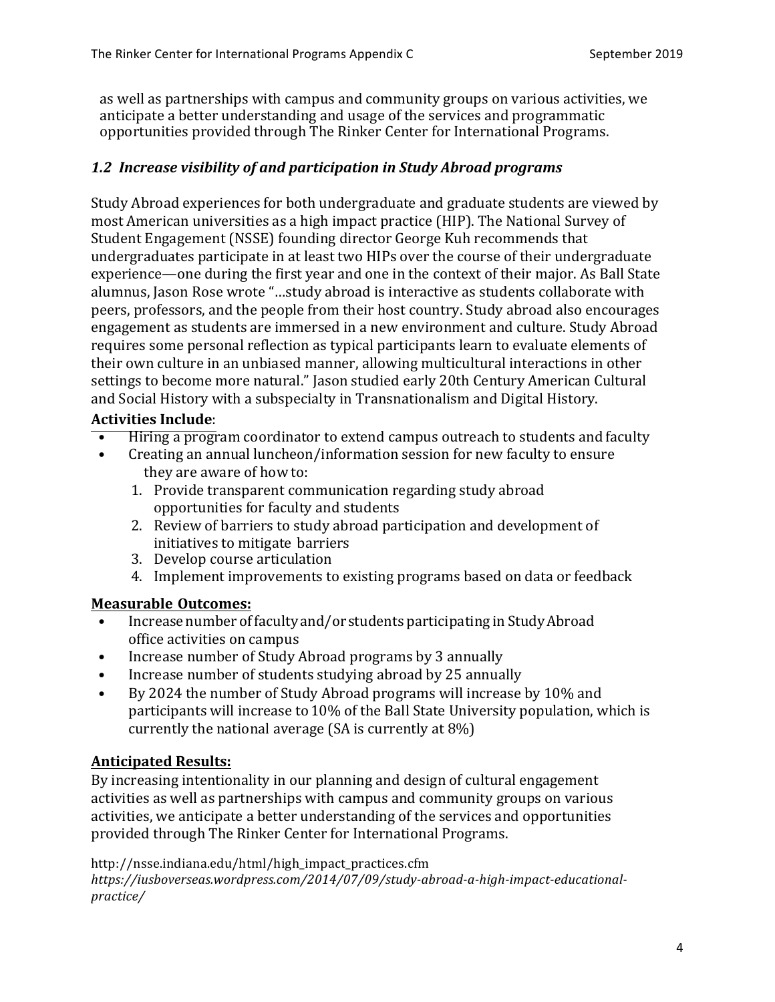as well as partnerships with campus and community groups on various activities, we anticipate a better understanding and usage of the services and programmatic opportunities provided through The Rinker Center for International Programs.

## 1.2 Increase visibility of and participation in Study Abroad programs

Study Abroad experiences for both undergraduate and graduate students are viewed by most American universities as a high impact practice (HIP). The National Survey of Student Engagement (NSSE) founding director George Kuh recommends that undergraduates participate in at least two HIPs over the course of their undergraduate experience—one during the first year and one in the context of their major. As Ball State alumnus, Jason Rose wrote "...study abroad is interactive as students collaborate with peers, professors, and the people from their host country. Study abroad also encourages engagement as students are immersed in a new environment and culture. Study Abroad requires some personal reflection as typical participants learn to evaluate elements of their own culture in an unbiased manner, allowing multicultural interactions in other settings to become more natural." Jason studied early 20th Century American Cultural and Social History with a subspecialty in Transnationalism and Digital History.

## **Activities Include**:

- Hiring a program coordinator to extend campus outreach to students and faculty
- Creating an annual luncheon/information session for new faculty to ensure they are aware of how to:
	- 1. Provide transparent communication regarding study abroad opportunities for faculty and students
	- 2. Review of barriers to study abroad participation and development of initiatives to mitigate barriers
	- 3. Develop course articulation
	- 4. Implement improvements to existing programs based on data or feedback

# **Measurable Outcomes:**

- Increase number of faculty and/or students participating in Study Abroad office activities on campus
- Increase number of Study Abroad programs by 3 annually
- Increase number of students studying abroad by 25 annually
- By 2024 the number of Study Abroad programs will increase by 10% and participants will increase to 10% of the Ball State University population, which is currently the national average  $(SA \text{ is currently at } 8\%)$

# **Anticipated Results:**

By increasing intentionality in our planning and design of cultural engagement activities as well as partnerships with campus and community groups on various activities, we anticipate a better understanding of the services and opportunities provided through The Rinker Center for International Programs.

http://nsse.indiana.edu/html/high\_impact\_practices.cfm *https://iusboverseas.wordpress.com/2014/07/09/study-abroad-a-high-impact-educationalpractice/*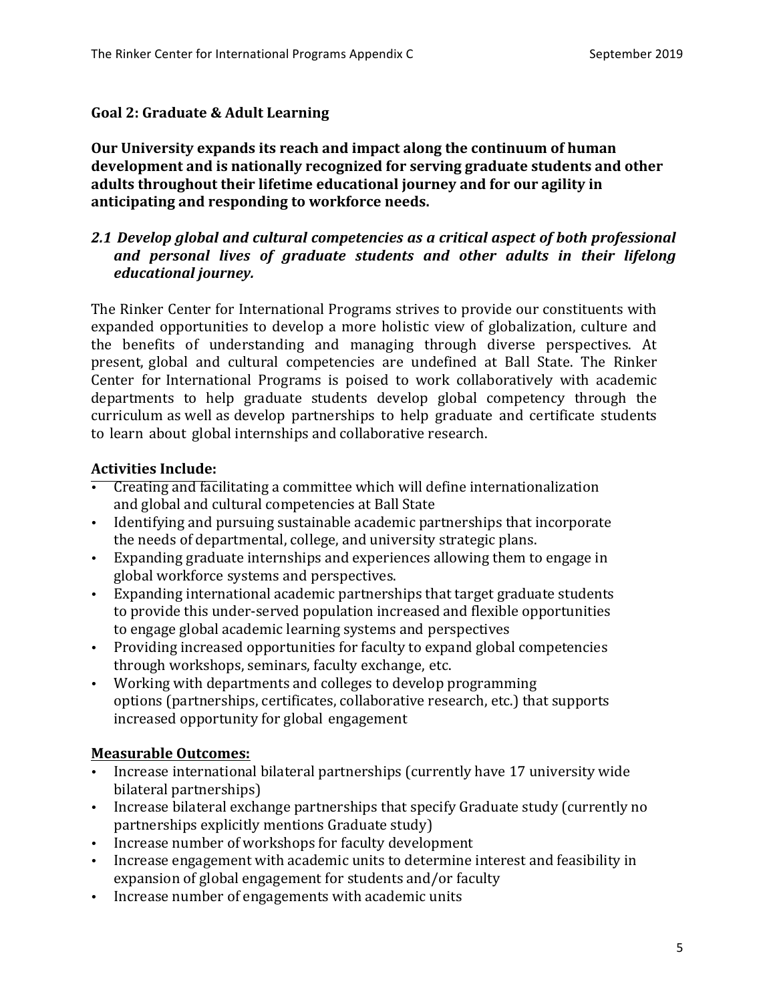#### **Goal 2: Graduate & Adult Learning**

Our University expands its reach and impact along the continuum of human development and is nationally recognized for serving graduate students and other adults throughout their lifetime educational journey and for our agility in anticipating and responding to workforce needs.

## 2.1 Develop global and cultural competencies as a critical aspect of both professional and personal lives of graduate students and other adults in their lifelong *educational journey.*

The Rinker Center for International Programs strives to provide our constituents with expanded opportunities to develop a more holistic view of globalization, culture and the benefits of understanding and managing through diverse perspectives. At present, global and cultural competencies are undefined at Ball State. The Rinker Center for International Programs is poised to work collaboratively with academic departments to help graduate students develop global competency through the curriculum as well as develop partnerships to help graduate and certificate students to learn about global internships and collaborative research.

## **Activities Include:**

- Creating and facilitating a committee which will define internationalization and global and cultural competencies at Ball State
- Identifying and pursuing sustainable academic partnerships that incorporate the needs of departmental, college, and university strategic plans.
- Expanding graduate internships and experiences allowing them to engage in global workforce systems and perspectives.
- Expanding international academic partnerships that target graduate students to provide this under-served population increased and flexible opportunities to engage global academic learning systems and perspectives
- Providing increased opportunities for faculty to expand global competencies through workshops, seminars, faculty exchange, etc.
- Working with departments and colleges to develop programming options (partnerships, certificates, collaborative research, etc.) that supports increased opportunity for global engagement

## **Measurable Outcomes:**

- Increase international bilateral partnerships (currently have 17 university wide bilateral partnerships)
- Increase bilateral exchange partnerships that specify Graduate study (currently no partnerships explicitly mentions Graduate study)
- Increase number of workshops for faculty development
- Increase engagement with academic units to determine interest and feasibility in expansion of global engagement for students and/or faculty
- Increase number of engagements with academic units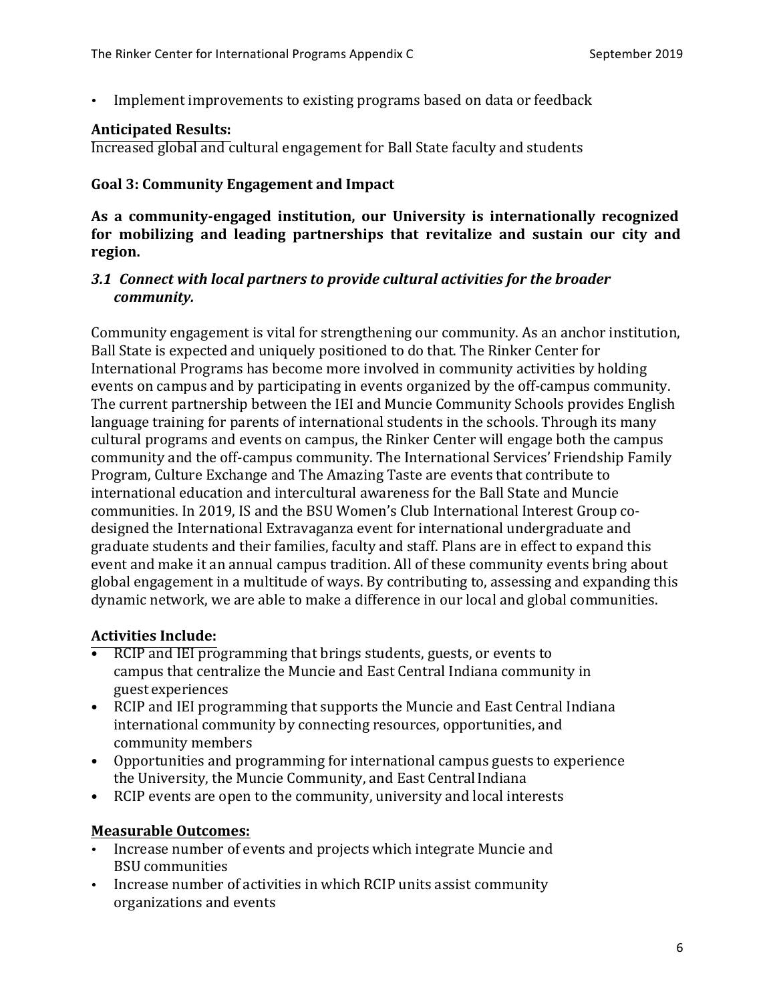Implement improvements to existing programs based on data or feedback

#### **Anticipated Results:**

Increased global and cultural engagement for Ball State faculty and students

#### Goal 3: Community Engagement and Impact

As a community-engaged institution, our University is internationally recognized **for mobilizing and leading partnerships that revitalize and sustain our city and region.** 

#### **3.1 Connect with local partners to provide cultural activities for the broader** *community.*

Community engagement is vital for strengthening our community. As an anchor institution, Ball State is expected and uniquely positioned to do that. The Rinker Center for International Programs has become more involved in community activities by holding events on campus and by participating in events organized by the off-campus community. The current partnership between the IEI and Muncie Community Schools provides English language training for parents of international students in the schools. Through its many cultural programs and events on campus, the Rinker Center will engage both the campus community and the off-campus community. The International Services' Friendship Family Program, Culture Exchange and The Amazing Taste are events that contribute to international education and intercultural awareness for the Ball State and Muncie communities. In 2019, IS and the BSU Women's Club International Interest Group codesigned the International Extravaganza event for international undergraduate and graduate students and their families, faculty and staff. Plans are in effect to expand this event and make it an annual campus tradition. All of these community events bring about global engagement in a multitude of ways. By contributing to, assessing and expanding this dynamic network, we are able to make a difference in our local and global communities.

## **Activities Include:**

- RCIP and IEI programming that brings students, guests, or events to campus that centralize the Muncie and East Central Indiana community in guest experiences
- RCIP and IEI programming that supports the Muncie and East Central Indiana international community by connecting resources, opportunities, and community members
- Opportunities and programming for international campus guests to experience the University, the Muncie Community, and East Central Indiana
- RCIP events are open to the community, university and local interests

## **Measurable Outcomes:**

- Increase number of events and projects which integrate Muncie and BSU communities
- Increase number of activities in which RCIP units assist community organizations and events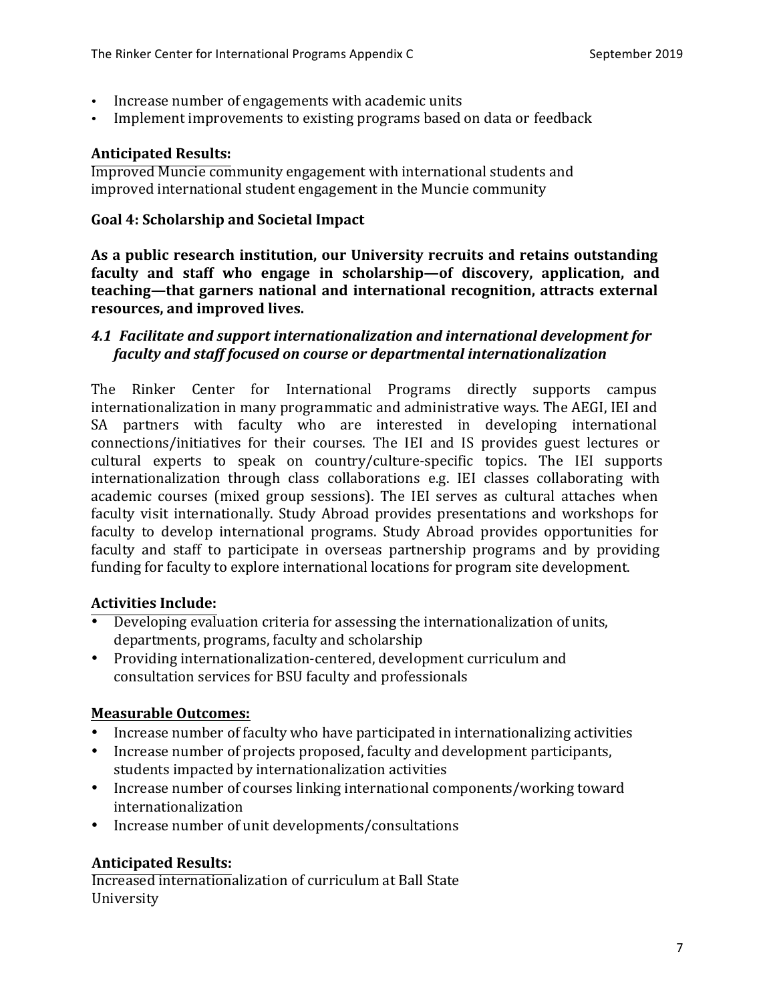- Increase number of engagements with academic units
- Implement improvements to existing programs based on data or feedback

#### **Anticipated Results:**

**Improved Muncie community engagement with international students and** improved international student engagement in the Muncie community

#### **Goal 4: Scholarship and Societal Impact**

As a public research institution, our University recruits and retains outstanding **faculty** and staff who engage in scholarship—of discovery, application, and **teaching—that garners national and international recognition, attracts external** resources, and improved lives.

## **4.1 Facilitate and support internationalization and international development for** *faculty* and staff focused on course or departmental internationalization

The Rinker Center for International Programs directly supports campus internationalization in many programmatic and administrative ways. The AEGI, IEI and SA partners with faculty who are interested in developing international connections/initiatives for their courses. The IEI and IS provides guest lectures or cultural experts to speak on country/culture-specific topics. The IEI supports internationalization through class collaborations e.g. IEI classes collaborating with academic courses (mixed group sessions). The IEI serves as cultural attaches when faculty visit internationally. Study Abroad provides presentations and workshops for faculty to develop international programs. Study Abroad provides opportunities for faculty and staff to participate in overseas partnership programs and by providing funding for faculty to explore international locations for program site development.

## **Activities Include:**

- Developing evaluation criteria for assessing the internationalization of units, departments, programs, faculty and scholarship
- Providing internationalization-centered, development curriculum and consultation services for BSU faculty and professionals

## **Measurable Outcomes:**

- Increase number of faculty who have participated in internationalizing activities
- Increase number of projects proposed, faculty and development participants, students impacted by internationalization activities
- Increase number of courses linking international components/working toward internationalization
- Increase number of unit developments/consultations

## **Anticipated Results:**

Increased internationalization of curriculum at Ball State University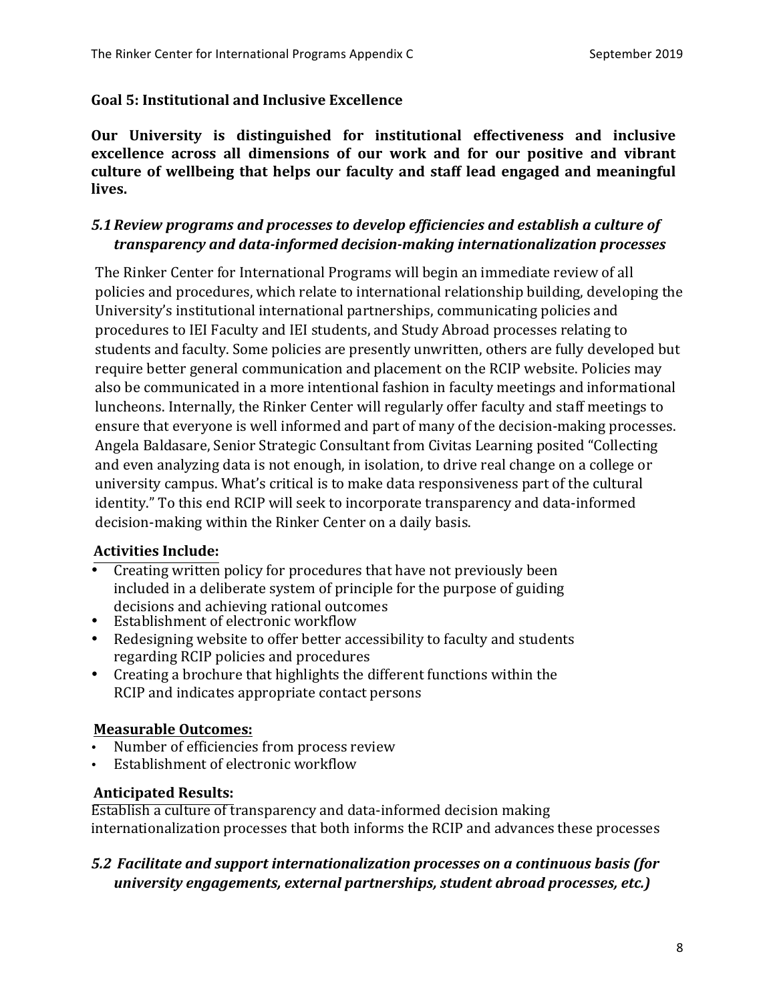#### Goal 5: Institutional and Inclusive Excellence

**Our University is distinguished for institutional effectiveness and inclusive excellence** across all dimensions of our work and for our positive and vibrant culture of wellbeing that helps our faculty and staff lead engaged and meaningful lives.

# *5.1Review programs and processes to develop efficiencies and establish a culture of transparency and data-informed decision-making internationalization processes*

The Rinker Center for International Programs will begin an immediate review of all policies and procedures, which relate to international relationship building, developing the University's institutional international partnerships, communicating policies and procedures to IEI Faculty and IEI students, and Study Abroad processes relating to students and faculty. Some policies are presently unwritten, others are fully developed but require better general communication and placement on the RCIP website. Policies may also be communicated in a more intentional fashion in faculty meetings and informational luncheons. Internally, the Rinker Center will regularly offer faculty and staff meetings to ensure that everyone is well informed and part of many of the decision-making processes. Angela Baldasare, Senior Strategic Consultant from Civitas Learning posited "Collecting and even analyzing data is not enough, in isolation, to drive real change on a college or university campus. What's critical is to make data responsiveness part of the cultural identity." To this end RCIP will seek to incorporate transparency and data-informed decision-making within the Rinker Center on a daily basis.

## **Activities Include:**

- Creating written policy for procedures that have not previously been included in a deliberate system of principle for the purpose of guiding decisions and achieving rational outcomes
- Establishment of electronic workflow
- Redesigning website to offer better accessibility to faculty and students regarding RCIP policies and procedures
- Creating a brochure that highlights the different functions within the RCIP and indicates appropriate contact persons

#### **Measurable Outcomes:**

- Number of efficiencies from process review
- Establishment of electronic workflow

#### **Anticipated Results:**

Establish a culture of transparency and data-informed decision making internationalization processes that both informs the RCIP and advances these processes

## **5.2** Facilitate and support internationalization processes on a continuous basis (for *university engagements, external partnerships, student abroad processes, etc.)*